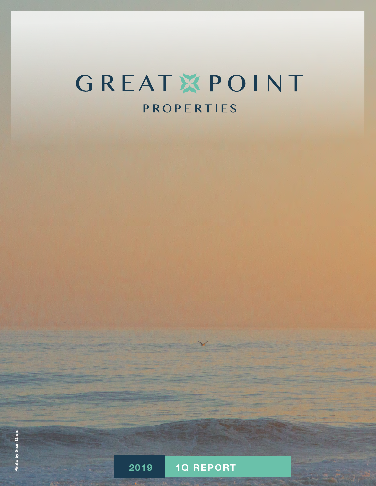# GREATXPOINT PROPERTIES

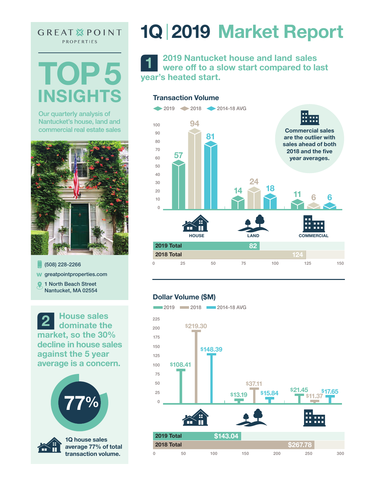**GREAT XPOINT** PROPERTIES

**TOP 5 INSIGHTS**

Our quarterly analysis of Nantucket's house, land and commercial real estate sales



(508) 228-2266 w greatpointproperties.com **Q** 1 North Beach Street Nantucket, MA 02554

**2 House sales dominate the market, so the 30% decline in house sales against the 5 year average is a concern.**





**1Q house sales average 77% of total transaction volume.**

# **1Q** I **2019 Market Report**

**1 2019 Nantucket house and land sales were off to a slow start compared to last year's heated start.** 

### **Transaction Volume**



### **Dollar Volume (\$M)**

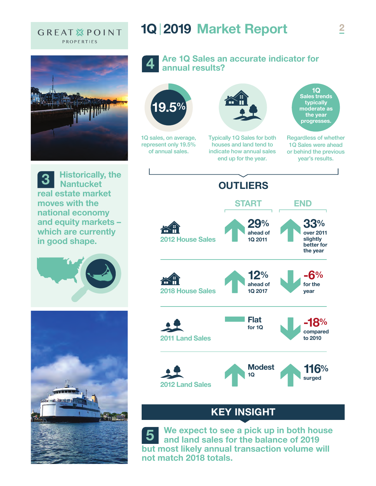### **GREAT XPOINT** PROPERTIES



**3 Historically, the Nantucket real estate market moves with the national economy and equity markets – which are currently in good shape.**





## **1Q 2019 Market Report**

**4**

### **Are 1Q Sales an accurate indicator for annual results?**



## **KEY INSIGHT**

**5 We expect to see a pick up in both house and land sales for the balance of 2019 but most likely annual transaction volume will not match 2018 totals.**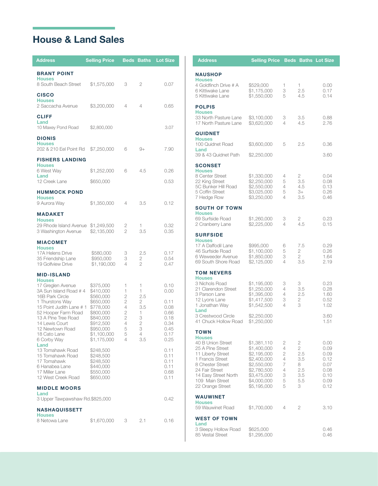## House & Land Sales

| <b>Address</b>                                                                                                                                                                                                                                   | <b>Selling Price</b>                                                                                                                            | <b>Beds</b>                                                                                | <b>Baths</b>                                                         | <b>Lot Size</b>                                                              |  |  |
|--------------------------------------------------------------------------------------------------------------------------------------------------------------------------------------------------------------------------------------------------|-------------------------------------------------------------------------------------------------------------------------------------------------|--------------------------------------------------------------------------------------------|----------------------------------------------------------------------|------------------------------------------------------------------------------|--|--|
| <b>BRANT POINT</b><br><b>Houses</b><br>8 South Beach Street                                                                                                                                                                                      | \$1,575,000                                                                                                                                     | 3                                                                                          | 2                                                                    | 0.07                                                                         |  |  |
| <b>CISCO</b><br><b>Houses</b><br>2 Saccacha Avenue                                                                                                                                                                                               | \$3,200,000                                                                                                                                     | 4                                                                                          | 4                                                                    | 0.65                                                                         |  |  |
| <b>CLIFF</b><br>Land<br>10 Maxey Pond Road                                                                                                                                                                                                       | \$2,800,000                                                                                                                                     |                                                                                            |                                                                      | 3.07                                                                         |  |  |
| <b>DIONIS</b><br><b>Houses</b><br>202 & 210 Eel Point Rd                                                                                                                                                                                         | \$7,250,000                                                                                                                                     | 6                                                                                          | $9+$                                                                 | 7.90                                                                         |  |  |
| <b>FISHERS LANDING</b>                                                                                                                                                                                                                           |                                                                                                                                                 |                                                                                            |                                                                      |                                                                              |  |  |
| <b>Houses</b><br>6 West Way<br>Land                                                                                                                                                                                                              | \$1,252,000                                                                                                                                     | 6                                                                                          | 4.5                                                                  | 0.26                                                                         |  |  |
| 12 Creek Lane                                                                                                                                                                                                                                    | \$650,000                                                                                                                                       |                                                                                            |                                                                      | 0.53                                                                         |  |  |
| <b>HUMMOCK POND</b><br><b>Houses</b><br>9 Aurora Way                                                                                                                                                                                             | \$1,350,000                                                                                                                                     | 4                                                                                          | 3.5                                                                  | 0.12                                                                         |  |  |
| <b>MADAKET</b>                                                                                                                                                                                                                                   |                                                                                                                                                 |                                                                                            |                                                                      |                                                                              |  |  |
| <b>Houses</b><br>29 Rhode Island Avenue<br>3 Washington Avenue                                                                                                                                                                                   | \$1,249,500<br>\$2,135,000                                                                                                                      | 2<br>$\overline{2}$                                                                        | 1<br>3.5                                                             | 0.32<br>0.35                                                                 |  |  |
| <b>MIACOMET</b>                                                                                                                                                                                                                                  |                                                                                                                                                 |                                                                                            |                                                                      |                                                                              |  |  |
| <b>Houses</b><br>17A Helens Drive<br>35 Friendship Lane<br>19 Golfview Drive                                                                                                                                                                     | \$580,000<br>\$950,000<br>\$1,190,000                                                                                                           | 3<br>3<br>4                                                                                | 2.5<br>2<br>$\overline{2}$                                           | 0.17<br>0.54<br>0.47                                                         |  |  |
| <b>MID-ISLAND</b>                                                                                                                                                                                                                                |                                                                                                                                                 |                                                                                            |                                                                      |                                                                              |  |  |
| <b>Houses</b><br>17 Greglen Avenue<br>3A Sun Island Road # 4<br>16B Park Circle<br>1 Thurstons Way<br>15 Point Judith Lane # 1<br>52 Hooper Farm Road<br>13 A Pine Tree Road<br>14 Lewis Court<br>12 Newtown Road<br>18 Cato Lane<br>6 Corby Way | \$375,000<br>\$410,000<br>\$560,000<br>\$650,000<br>\$778,000<br>\$800,000<br>\$840,000<br>\$912,500<br>\$950,000<br>\$1,100,000<br>\$1,175,000 | 1<br>1<br>2<br>$\overline{2}$<br>4<br>$\overline{2}$<br>$\overline{2}$<br>4<br>5<br>5<br>4 | 1<br>1<br>2.5<br>2<br>3.5<br>1<br>3<br>$\mathbf{2}$<br>3<br>4<br>3.5 | 0.10<br>0.00<br>0.11<br>0.08<br>0.66<br>0.18<br>0.34<br>0.45<br>0.17<br>0.25 |  |  |
| Land<br>13 Tomahawk Road<br>15 Tomahawk Road<br>17 Tomahawk<br>6 Hanabea Lane<br>17 Miller Lane<br>12 West Creek Road                                                                                                                            | \$248,500<br>\$248,500<br>\$248,500<br>\$440,000<br>\$550,000<br>\$650,000                                                                      |                                                                                            |                                                                      | 0.11<br>0.11<br>0.11<br>0.11<br>0.68<br>0.11                                 |  |  |
| <b>MIDDLE MOORS</b><br>Land<br>3 Upper Tawpawshaw Rd.\$825,000                                                                                                                                                                                   |                                                                                                                                                 |                                                                                            |                                                                      | 0.42                                                                         |  |  |
| NASHAQUISSETT                                                                                                                                                                                                                                    |                                                                                                                                                 |                                                                                            |                                                                      |                                                                              |  |  |
| <b>Houses</b><br>8 Netowa Lane                                                                                                                                                                                                                   | \$1,670,000                                                                                                                                     | 3                                                                                          | 2.1                                                                  | 0.16                                                                         |  |  |

| <b>Address</b>                                                                                                                                                                                       | <b>Selling Price Beds Baths Lot Size</b>                                                                                            |                                                        |                                                                  |                                                                      |
|------------------------------------------------------------------------------------------------------------------------------------------------------------------------------------------------------|-------------------------------------------------------------------------------------------------------------------------------------|--------------------------------------------------------|------------------------------------------------------------------|----------------------------------------------------------------------|
| <b>NAUSHOP</b>                                                                                                                                                                                       |                                                                                                                                     |                                                        |                                                                  |                                                                      |
| <b>Houses</b><br>4 Goldfinch Drive # A<br>6 Kittiwake Lane<br>5 Kittiwake Lane                                                                                                                       | \$529,000<br>\$1,175,000<br>\$1,550,000                                                                                             | 1<br>3<br>5                                            | 1<br>2.5<br>4.5                                                  | 0.00<br>0.17<br>0.14                                                 |
| <b>POLPIS</b><br><b>Houses</b>                                                                                                                                                                       |                                                                                                                                     |                                                        |                                                                  |                                                                      |
| 33 North Pasture Lane<br>17 North Pasture Lane                                                                                                                                                       | \$3,100,000<br>\$3,620,000                                                                                                          | 3<br>4                                                 | 3.5<br>4.5                                                       | 0.88<br>2.76                                                         |
| <b>QUIDNET</b><br><b>Houses</b><br>100 Quidnet Road                                                                                                                                                  | \$3,600,000                                                                                                                         | 5                                                      | 2.5                                                              | 0.36                                                                 |
| Land<br>39 & 43 Quidnet Path                                                                                                                                                                         | \$2,250,000                                                                                                                         |                                                        |                                                                  | 3.60                                                                 |
| <b>SCONSET</b>                                                                                                                                                                                       |                                                                                                                                     |                                                        |                                                                  |                                                                      |
| <b>Houses</b><br>8 Center Street<br>22 King Street<br>5C Bunker Hill Road<br>5 Coffin Street<br>7 Hedge Row                                                                                          | \$1,330,000<br>\$2,250,000<br>\$2,550,000<br>\$3,025,000<br>\$3,250,000                                                             | 4<br>5<br>4<br>5<br>4                                  | 2<br>3.5<br>4.5<br>3+<br>3.5                                     | 0.04<br>0.08<br>0.13<br>0.26<br>0.46                                 |
| <b>SOUTH OF TOWN</b><br><b>Houses</b>                                                                                                                                                                |                                                                                                                                     |                                                        |                                                                  |                                                                      |
| 69 Surfside Road<br>2 Cranberry Lane                                                                                                                                                                 | \$1,260,000<br>\$2,225,000                                                                                                          | 3<br>4                                                 | 2<br>4.5                                                         | 0.23<br>0.15                                                         |
| <b>SURFSIDE</b><br><b>Houses</b>                                                                                                                                                                     |                                                                                                                                     |                                                        |                                                                  |                                                                      |
| 17 A Daffodil Lane<br>46 Surfside Road<br>6 Weweeder Avenue<br>69 South Shore Road                                                                                                                   | \$995,000<br>\$1,100,000<br>\$1,850,000<br>\$2,125,000                                                                              | 6<br>5<br>3<br>4                                       | 7.5<br>2<br>2<br>3.5                                             | 0.29<br>0.26<br>1.64<br>2.19                                         |
| <b>TOM NEVERS</b>                                                                                                                                                                                    |                                                                                                                                     |                                                        |                                                                  |                                                                      |
| <b>Houses</b><br>3 Nichols Road<br>21 Clarendon Street<br>3 Parson Lane<br>12 Lyons Lane<br>1 Jonathan Way                                                                                           | \$1,195,000<br>\$1,250,000<br>\$1,395,000<br>\$1,417,500<br>\$1,542,500                                                             | 3<br>4<br>4<br>3<br>4                                  | 3<br>3.5<br>2.5<br>2<br>3                                        | 0.23<br>0.28<br>1.60<br>0.52<br>1.02                                 |
| Land<br>3 Crestwood Circle<br>41 Chuck Hollow Road                                                                                                                                                   | \$2,250,000<br>\$1,250,000                                                                                                          |                                                        |                                                                  | 3.60<br>1.51                                                         |
| TOWN                                                                                                                                                                                                 |                                                                                                                                     |                                                        |                                                                  |                                                                      |
| <b>Houses</b><br>40 B Union Street<br>25 A Pine Street<br>11 Liberty Street<br>1 Francis Street<br>8 Chester Street<br>24 Fair Street<br>14 Easy Street North<br>109 Main Street<br>22 Orange Street | \$1,381,110<br>\$1,400,000<br>\$2,195,000<br>\$2,400,000<br>\$2,550,000<br>\$2,780,500<br>\$3,475,000<br>\$4,000,000<br>\$5,195,000 | 2<br>4<br>$\overline{2}$<br>4<br>7<br>4<br>3<br>5<br>5 | 2<br>$\overline{2}$<br>2.5<br>3.5<br>8<br>2.5<br>3.5<br>5.5<br>3 | 0.00<br>0.09<br>0.09<br>0.12<br>0.07<br>0.08<br>0.10<br>0.09<br>0.12 |
| <b>WAUWINET</b><br><b>Houses</b>                                                                                                                                                                     |                                                                                                                                     |                                                        |                                                                  |                                                                      |
| 59 Wauwinet Road                                                                                                                                                                                     | \$1,700,000                                                                                                                         | 4                                                      | 2                                                                | 3.10                                                                 |
| <b>WEST OF TOWN</b><br>Land                                                                                                                                                                          |                                                                                                                                     |                                                        |                                                                  |                                                                      |
| 3 Sleepy Hollow Road<br>85 Vestal Street                                                                                                                                                             | \$625,000<br>\$1,295,000                                                                                                            |                                                        |                                                                  | 0.46<br>0.46                                                         |